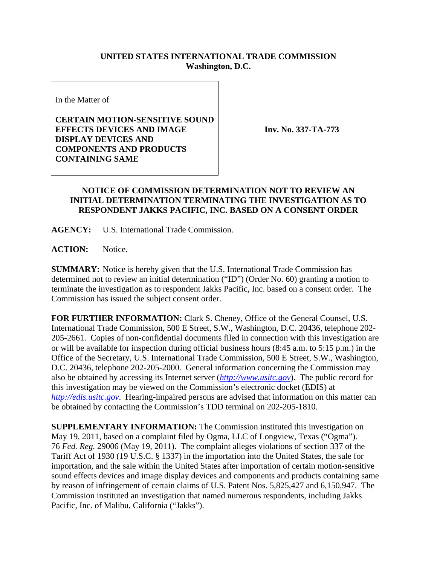## **UNITED STATES INTERNATIONAL TRADE COMMISSION Washington, D.C.**

In the Matter of

## **CERTAIN MOTION-SENSITIVE SOUND EFFECTS DEVICES AND IMAGE DISPLAY DEVICES AND COMPONENTS AND PRODUCTS CONTAINING SAME**

**Inv. No. 337-TA-773**

## **NOTICE OF COMMISSION DETERMINATION NOT TO REVIEW AN INITIAL DETERMINATION TERMINATING THE INVESTIGATION AS TO RESPONDENT JAKKS PACIFIC, INC. BASED ON A CONSENT ORDER**

**AGENCY:** U.S. International Trade Commission.

ACTION: Notice.

**SUMMARY:** Notice is hereby given that the U.S. International Trade Commission has determined not to review an initial determination ("ID") (Order No. 60) granting a motion to terminate the investigation as to respondent Jakks Pacific, Inc. based on a consent order. The Commission has issued the subject consent order.

**FOR FURTHER INFORMATION:** Clark S. Cheney, Office of the General Counsel, U.S. International Trade Commission, 500 E Street, S.W., Washington, D.C. 20436, telephone 202- 205-2661. Copies of non-confidential documents filed in connection with this investigation are or will be available for inspection during official business hours (8:45 a.m. to 5:15 p.m.) in the Office of the Secretary, U.S. International Trade Commission, 500 E Street, S.W., Washington, D.C. 20436, telephone 202-205-2000. General information concerning the Commission may also be obtained by accessing its Internet server (*http://www.usitc.gov*). The public record for this investigation may be viewed on the Commission's electronic docket (EDIS) at *http://edis.usitc.gov*. Hearing-impaired persons are advised that information on this matter can be obtained by contacting the Commission's TDD terminal on 202-205-1810.

**SUPPLEMENTARY INFORMATION:** The Commission instituted this investigation on May 19, 2011, based on a complaint filed by Ogma, LLC of Longview, Texas ("Ogma"). 76 *Fed. Reg.* 29006 (May 19, 2011). The complaint alleges violations of section 337 of the Tariff Act of 1930 (19 U.S.C. § 1337) in the importation into the United States, the sale for importation, and the sale within the United States after importation of certain motion-sensitive sound effects devices and image display devices and components and products containing same by reason of infringement of certain claims of U.S. Patent Nos. 5,825,427 and 6,150,947. The Commission instituted an investigation that named numerous respondents, including Jakks Pacific, Inc. of Malibu, California ("Jakks").